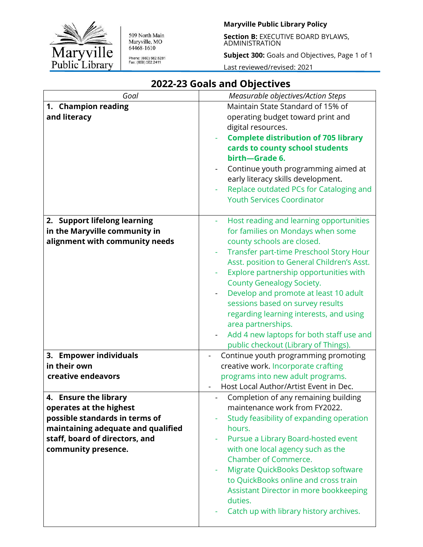

509 North Main<br>Maryville, MO<br>64468-1610 Phone: (660) 582.5281<br>Fax: (660) 582.2411

#### **Maryville Public Library Policy**

**Section B:** EXECUTIVE BOARD BYLAWS, ADMINISTRATION

**Subject 300:** Goals and Objectives, Page 1 of 1

Last reviewed/revised: 2021

| Goal                                                                                                                                                                              | Measurable objectives/Action Steps                                                                                                                                                                                                                                                                                                                                                                                                                                                                                                              |
|-----------------------------------------------------------------------------------------------------------------------------------------------------------------------------------|-------------------------------------------------------------------------------------------------------------------------------------------------------------------------------------------------------------------------------------------------------------------------------------------------------------------------------------------------------------------------------------------------------------------------------------------------------------------------------------------------------------------------------------------------|
| 1. Champion reading<br>and literacy                                                                                                                                               | Maintain State Standard of 15% of<br>operating budget toward print and<br>digital resources.<br><b>Complete distribution of 705 library</b><br>cards to county school students<br>birth-Grade 6.<br>Continue youth programming aimed at<br>early literacy skills development.<br>Replace outdated PCs for Cataloging and<br><b>Youth Services Coordinator</b>                                                                                                                                                                                   |
| 2. Support lifelong learning<br>in the Maryville community in<br>alignment with community needs                                                                                   | Host reading and learning opportunities<br>for families on Mondays when some<br>county schools are closed.<br>Transfer part-time Preschool Story Hour<br>Asst. position to General Children's Asst.<br>Explore partnership opportunities with<br><b>County Genealogy Society.</b><br>Develop and promote at least 10 adult<br>sessions based on survey results<br>regarding learning interests, and using<br>area partnerships.<br>Add 4 new laptops for both staff use and<br>$\overline{\phantom{0}}$<br>public checkout (Library of Things). |
|                                                                                                                                                                                   |                                                                                                                                                                                                                                                                                                                                                                                                                                                                                                                                                 |
| 3. Empower individuals<br>in their own<br>creative endeavors                                                                                                                      | Continue youth programming promoting<br>creative work. Incorporate crafting<br>programs into new adult programs.<br>Host Local Author/Artist Event in Dec.                                                                                                                                                                                                                                                                                                                                                                                      |
| 4. Ensure the library<br>operates at the highest<br>possible standards in terms of<br>maintaining adequate and qualified<br>staff, board of directors, and<br>community presence. | Completion of any remaining building<br>maintenance work from FY2022.<br>Study feasibility of expanding operation<br>hours.<br>Pursue a Library Board-hosted event<br>with one local agency such as the<br>Chamber of Commerce.<br>Migrate QuickBooks Desktop software<br>to QuickBooks online and cross train<br>Assistant Director in more bookkeeping<br>duties.<br>Catch up with library history archives.                                                                                                                                  |

# **2022-23 Goals and Objectives**